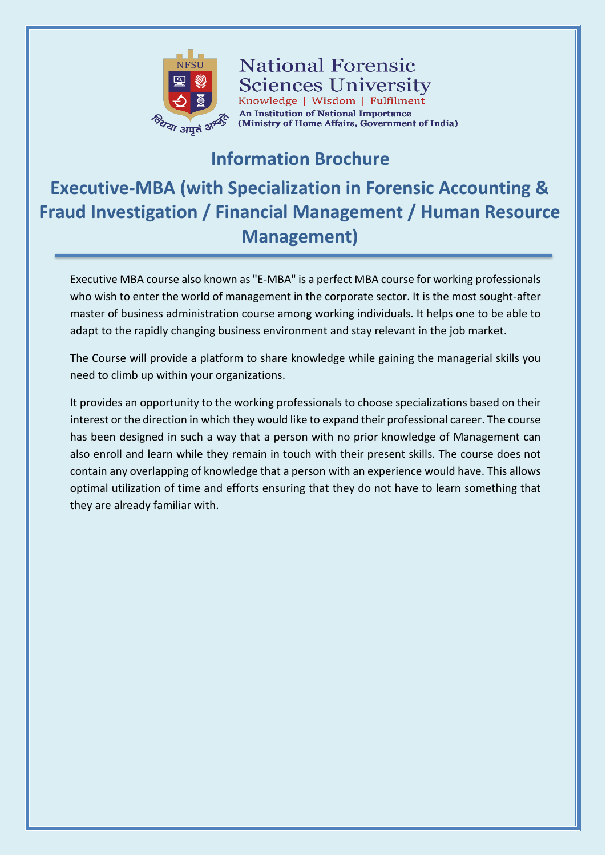

**National Forensic Sciences University** Knowledge | Wisdom | Fulfilment **An Institution of National Importance** (Ministry of Home Affairs, Government of India)

## **Information Brochure**

# **Executive-MBA (with Specialization in Forensic Accounting & Fraud Investigation / Financial Management / Human Resource Management)**

Executive MBA course also known as "E-MBA" is a perfect MBA course for working professionals who wish to enter the world of management in the corporate sector. It is the most sought-after master of business administration course among working individuals. It helps one to be able to adapt to the rapidly changing business environment and stay relevant in the job market.

The Course will provide a platform to share knowledge while gaining the managerial skills you need to climb up within your organizations.

It provides an opportunity to the working professionals to choose specializations based on their interest or the direction in which they would like to expand their professional career. The course has been designed in such a way that a person with no prior knowledge of Management can also enroll and learn while they remain in touch with their present skills. The course does not contain any overlapping of knowledge that a person with an experience would have. This allows optimal utilization of time and efforts ensuring that they do not have to learn something that they are already familiar with.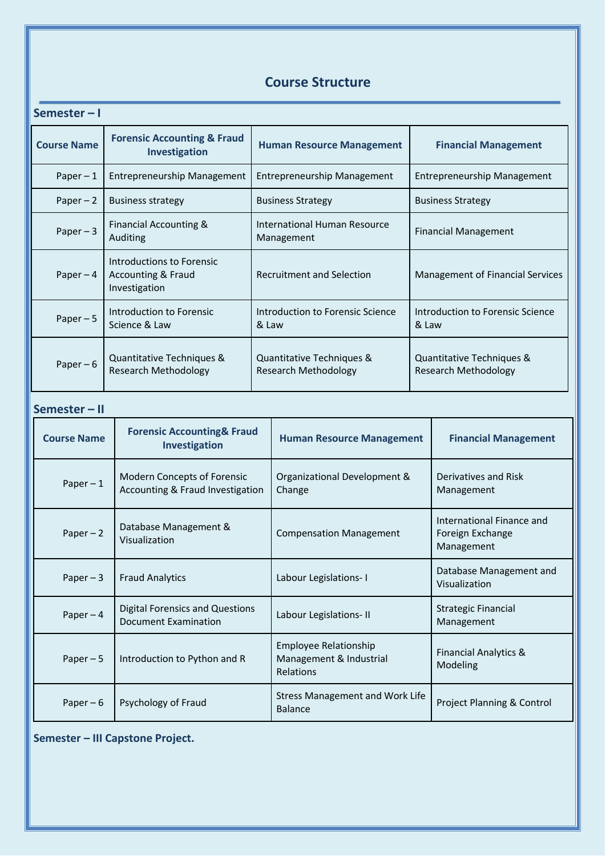### **Course Structure**

| Semester-I                                                                   |                                                                               |                                                   |                                                                      |                                                          |                                                             |  |
|------------------------------------------------------------------------------|-------------------------------------------------------------------------------|---------------------------------------------------|----------------------------------------------------------------------|----------------------------------------------------------|-------------------------------------------------------------|--|
| <b>Course Name</b>                                                           | <b>Forensic Accounting &amp; Fraud</b><br>Investigation                       |                                                   | <b>Human Resource Management</b>                                     |                                                          | <b>Financial Management</b>                                 |  |
| Paper $-1$                                                                   | Entrepreneurship Management                                                   |                                                   | <b>Entrepreneurship Management</b>                                   |                                                          | <b>Entrepreneurship Management</b>                          |  |
| Paper $-2$                                                                   | <b>Business strategy</b>                                                      |                                                   | <b>Business Strategy</b>                                             |                                                          | <b>Business Strategy</b>                                    |  |
| Paper $-3$                                                                   | <b>Financial Accounting &amp;</b><br>Auditing                                 | <b>International Human Resource</b><br>Management |                                                                      | <b>Financial Management</b>                              |                                                             |  |
| Paper $-4$                                                                   | Introductions to Forensic<br><b>Accounting &amp; Fraud</b><br>Investigation   |                                                   | <b>Recruitment and Selection</b>                                     |                                                          | Management of Financial Services                            |  |
| Paper $-5$                                                                   | Introduction to Forensic<br>Science & Law                                     | & Law                                             | Introduction to Forensic Science                                     | & Law                                                    | Introduction to Forensic Science                            |  |
| Paper $-6$                                                                   | Quantitative Techniques &<br><b>Research Methodology</b>                      |                                                   | Quantitative Techniques &<br><b>Research Methodology</b>             | Quantitative Techniques &<br><b>Research Methodology</b> |                                                             |  |
| Semester-II                                                                  |                                                                               |                                                   |                                                                      |                                                          |                                                             |  |
| <b>Forensic Accounting&amp; Fraud</b><br><b>Course Name</b><br>Investigation |                                                                               |                                                   | <b>Human Resource Management</b>                                     |                                                          | <b>Financial Management</b>                                 |  |
|                                                                              | Modern Concepts of Forensic<br>Paper $-1$<br>Accounting & Fraud Investigation |                                                   | Organizational Development &<br>Change                               |                                                          | Derivatives and Risk<br>Management                          |  |
| Database Management &<br>Paper $-2$<br>Visualization                         |                                                                               |                                                   | <b>Compensation Management</b>                                       |                                                          | International Finance and<br>Foreign Exchange<br>Management |  |
| Paper $-3$<br><b>Fraud Analytics</b>                                         |                                                                               |                                                   | Labour Legislations-I                                                |                                                          | Database Management and<br>Visualization                    |  |
| Paper $-4$                                                                   | <b>Digital Forensics and Questions</b><br><b>Document Examination</b>         |                                                   | Labour Legislations-II                                               |                                                          | <b>Strategic Financial</b><br>Management                    |  |
| Paper $-5$                                                                   | Introduction to Python and R                                                  |                                                   | <b>Employee Relationship</b><br>Management & Industrial<br>Relations |                                                          | <b>Financial Analytics &amp;</b><br>Modeling                |  |
| Paper $-6$                                                                   | Psychology of Fraud                                                           |                                                   | <b>Stress Management and Work Life</b><br><b>Balance</b>             |                                                          | Project Planning & Control                                  |  |

**Semester – III Capstone Project.**